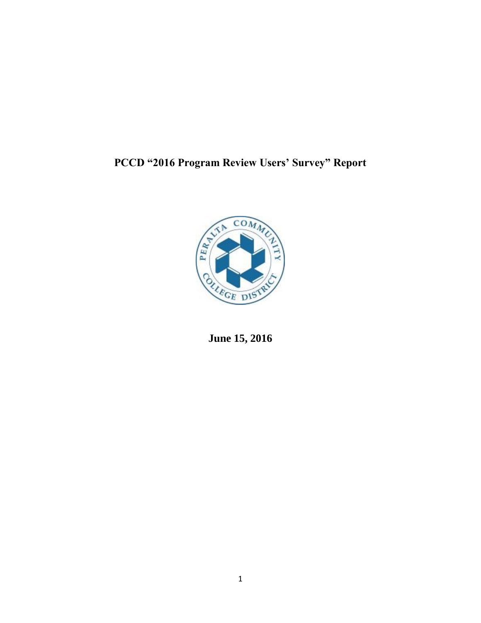# **PCCD "2016 Program Review Users' Survey" Report**



**June 15, 2016**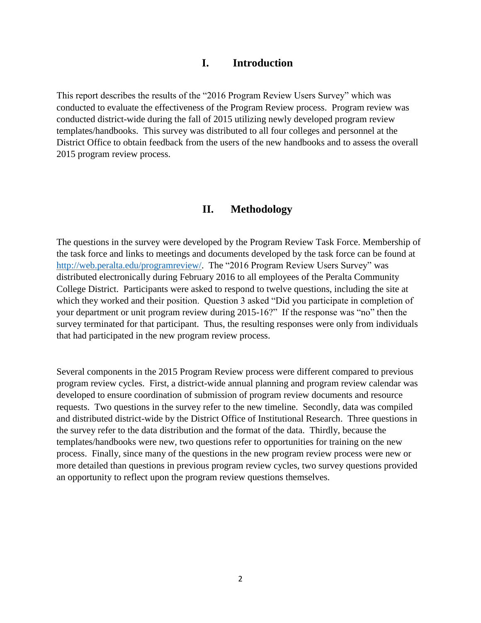## **I. Introduction**

This report describes the results of the "2016 Program Review Users Survey" which was conducted to evaluate the effectiveness of the Program Review process. Program review was conducted district-wide during the fall of 2015 utilizing newly developed program review templates/handbooks. This survey was distributed to all four colleges and personnel at the District Office to obtain feedback from the users of the new handbooks and to assess the overall 2015 program review process.

## **II. Methodology**

The questions in the survey were developed by the Program Review Task Force. Membership of the task force and links to meetings and documents developed by the task force can be found at [http://web.peralta.edu/programreview/.](http://web.peralta.edu/programreview/) The "2016 Program Review Users Survey" was distributed electronically during February 2016 to all employees of the Peralta Community College District. Participants were asked to respond to twelve questions, including the site at which they worked and their position. Question 3 asked "Did you participate in completion of your department or unit program review during 2015-16?" If the response was "no" then the survey terminated for that participant. Thus, the resulting responses were only from individuals that had participated in the new program review process.

Several components in the 2015 Program Review process were different compared to previous program review cycles. First, a district-wide annual planning and program review calendar was developed to ensure coordination of submission of program review documents and resource requests. Two questions in the survey refer to the new timeline. Secondly, data was compiled and distributed district-wide by the District Office of Institutional Research. Three questions in the survey refer to the data distribution and the format of the data. Thirdly, because the templates/handbooks were new, two questions refer to opportunities for training on the new process. Finally, since many of the questions in the new program review process were new or more detailed than questions in previous program review cycles, two survey questions provided an opportunity to reflect upon the program review questions themselves.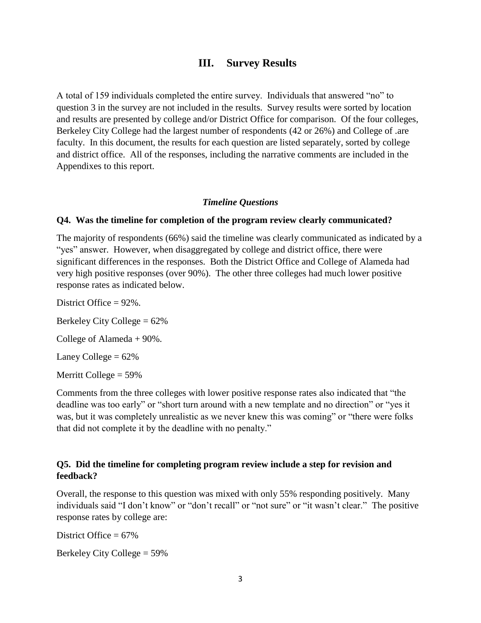## **III. Survey Results**

A total of 159 individuals completed the entire survey. Individuals that answered "no" to question 3 in the survey are not included in the results. Survey results were sorted by location and results are presented by college and/or District Office for comparison. Of the four colleges, Berkeley City College had the largest number of respondents (42 or 26%) and College of .are faculty. In this document, the results for each question are listed separately, sorted by college and district office. All of the responses, including the narrative comments are included in the Appendixes to this report.

#### *Timeline Questions*

#### **Q4. Was the timeline for completion of the program review clearly communicated?**

The majority of respondents (66%) said the timeline was clearly communicated as indicated by a "yes" answer. However, when disaggregated by college and district office, there were significant differences in the responses. Both the District Office and College of Alameda had very high positive responses (over 90%). The other three colleges had much lower positive response rates as indicated below.

District Office = 92%. Berkeley City College = 62% College of Alameda + 90%. Laney College  $= 62\%$ Merritt College  $= 59\%$ 

Comments from the three colleges with lower positive response rates also indicated that "the deadline was too early" or "short turn around with a new template and no direction" or "yes it was, but it was completely unrealistic as we never knew this was coming" or "there were folks that did not complete it by the deadline with no penalty."

### **Q5. Did the timeline for completing program review include a step for revision and feedback?**

Overall, the response to this question was mixed with only 55% responding positively. Many individuals said "I don't know" or "don't recall" or "not sure" or "it wasn't clear." The positive response rates by college are:

District Office  $= 67\%$ 

Berkeley City College = 59%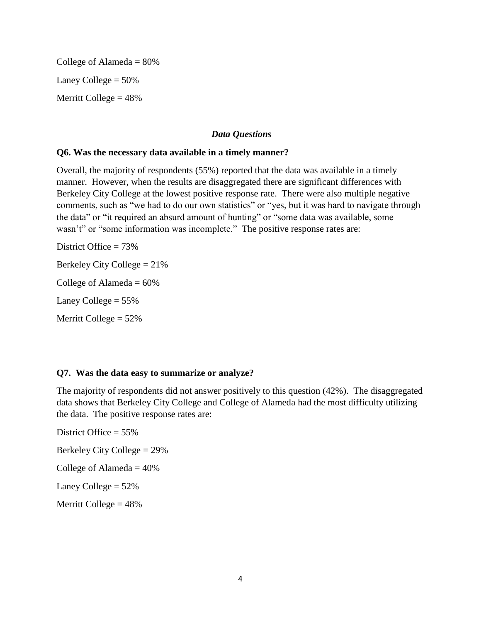College of Alameda  $= 80\%$ Laney College  $= 50\%$ Merritt College  $= 48%$ 

### *Data Questions*

#### **Q6. Was the necessary data available in a timely manner?**

Overall, the majority of respondents (55%) reported that the data was available in a timely manner. However, when the results are disaggregated there are significant differences with Berkeley City College at the lowest positive response rate. There were also multiple negative comments, such as "we had to do our own statistics" or "yes, but it was hard to navigate through the data" or "it required an absurd amount of hunting" or "some data was available, some wasn't" or "some information was incomplete." The positive response rates are:

District Office = 73% Berkeley City College = 21% College of Alameda  $= 60\%$ Laney College  $= 55\%$ Merritt College  $= 52\%$ 

### **Q7. Was the data easy to summarize or analyze?**

The majority of respondents did not answer positively to this question (42%). The disaggregated data shows that Berkeley City College and College of Alameda had the most difficulty utilizing the data. The positive response rates are:

District Office = 55% Berkeley City College = 29% College of Alameda  $= 40\%$ Laney College  $= 52\%$ Merritt College  $= 48%$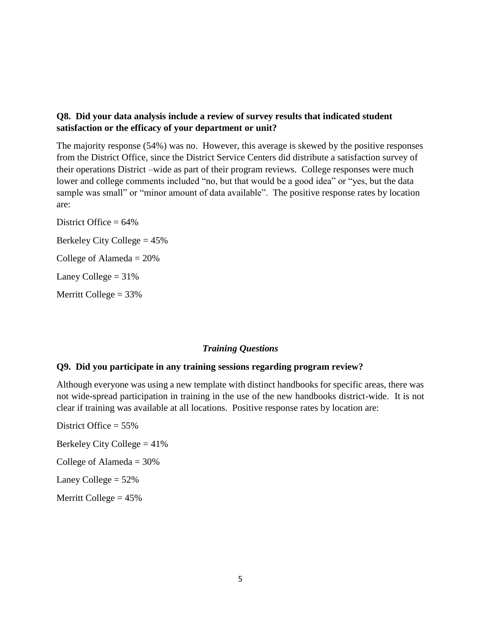### **Q8. Did your data analysis include a review of survey results that indicated student satisfaction or the efficacy of your department or unit?**

The majority response (54%) was no. However, this average is skewed by the positive responses from the District Office, since the District Service Centers did distribute a satisfaction survey of their operations District –wide as part of their program reviews. College responses were much lower and college comments included "no, but that would be a good idea" or "yes, but the data sample was small" or "minor amount of data available". The positive response rates by location are:

District Office  $= 64\%$ Berkeley City College = 45% College of Alameda  $= 20\%$ Laney College  $= 31\%$ Merritt College  $= 33\%$ 

## *Training Questions*

### **Q9. Did you participate in any training sessions regarding program review?**

Although everyone was using a new template with distinct handbooks for specific areas, there was not wide-spread participation in training in the use of the new handbooks district-wide. It is not clear if training was available at all locations. Positive response rates by location are:

District Office = 55% Berkeley City College = 41% College of Alameda  $=$  30% Laney College  $= 52\%$ Merritt College  $= 45%$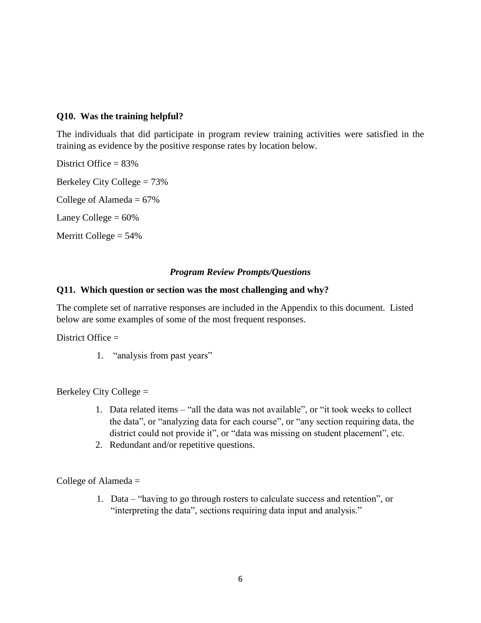### **Q10. Was the training helpful?**

The individuals that did participate in program review training activities were satisfied in the training as evidence by the positive response rates by location below.

District Office = 83% Berkeley City College = 73% College of Alameda  $= 67\%$ Laney College  $= 60\%$ 

Merritt College  $= 54\%$ 

## *Program Review Prompts/Questions*

### **Q11. Which question or section was the most challenging and why?**

The complete set of narrative responses are included in the Appendix to this document. Listed below are some examples of some of the most frequent responses.

District Office =

1. "analysis from past years"

Berkeley City College =

- 1. Data related items "all the data was not available", or "it took weeks to collect the data", or "analyzing data for each course", or "any section requiring data, the district could not provide it", or "data was missing on student placement", etc.
- 2. Redundant and/or repetitive questions.

College of Alameda =

1. Data – "having to go through rosters to calculate success and retention", or "interpreting the data", sections requiring data input and analysis."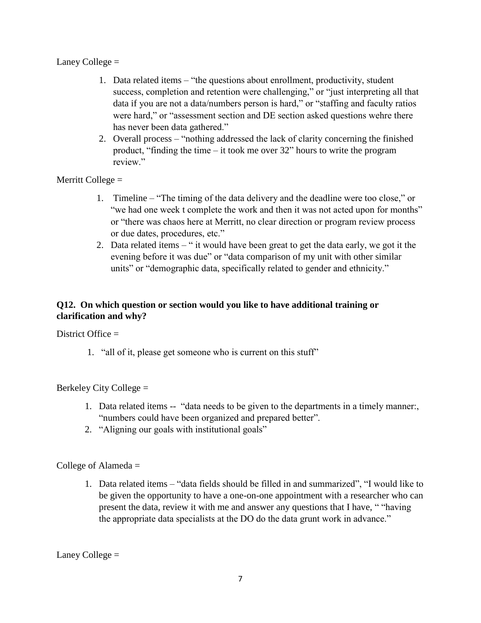### Laney College  $=$

- 1. Data related items "the questions about enrollment, productivity, student success, completion and retention were challenging," or "just interpreting all that data if you are not a data/numbers person is hard," or "staffing and faculty ratios were hard," or "assessment section and DE section asked questions wehre there has never been data gathered."
- 2. Overall process "nothing addressed the lack of clarity concerning the finished product, "finding the time – it took me over 32" hours to write the program review."

## Merritt College =

- 1. Timeline "The timing of the data delivery and the deadline were too close," or "we had one week t complete the work and then it was not acted upon for months" or "there was chaos here at Merritt, no clear direction or program review process or due dates, procedures, etc."
- 2. Data related items " it would have been great to get the data early, we got it the evening before it was due" or "data comparison of my unit with other similar units" or "demographic data, specifically related to gender and ethnicity."

## **Q12. On which question or section would you like to have additional training or clarification and why?**

### District Office =

1. "all of it, please get someone who is current on this stuff"

## Berkeley City College =

- 1. Data related items -- "data needs to be given to the departments in a timely manner:, "numbers could have been organized and prepared better".
- 2. "Aligning our goals with institutional goals"

## College of Alameda =

1. Data related items – "data fields should be filled in and summarized", "I would like to be given the opportunity to have a one-on-one appointment with a researcher who can present the data, review it with me and answer any questions that I have, " "having the appropriate data specialists at the DO do the data grunt work in advance."

Laney College  $=$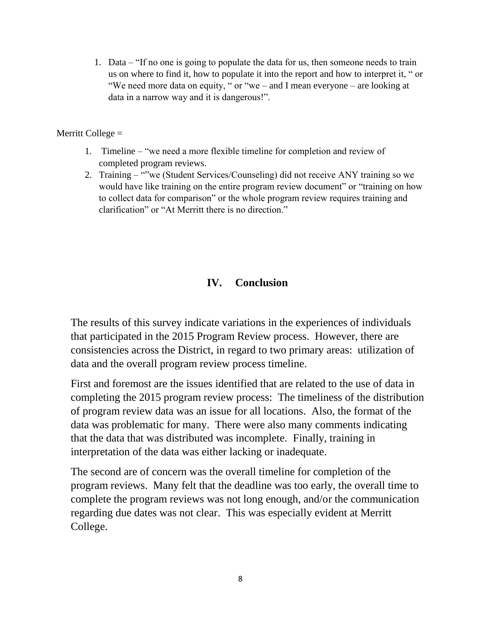1. Data – "If no one is going to populate the data for us, then someone needs to train us on where to find it, how to populate it into the report and how to interpret it, " or "We need more data on equity, " or "we – and I mean everyone – are looking at data in a narrow way and it is dangerous!".

Merritt College =

- 1. Timeline "we need a more flexible timeline for completion and review of completed program reviews.
- 2. Training ""we (Student Services/Counseling) did not receive ANY training so we would have like training on the entire program review document" or "training on how to collect data for comparison" or the whole program review requires training and clarification" or "At Merritt there is no direction."

## **IV. Conclusion**

The results of this survey indicate variations in the experiences of individuals that participated in the 2015 Program Review process. However, there are consistencies across the District, in regard to two primary areas: utilization of data and the overall program review process timeline.

First and foremost are the issues identified that are related to the use of data in completing the 2015 program review process: The timeliness of the distribution of program review data was an issue for all locations. Also, the format of the data was problematic for many. There were also many comments indicating that the data that was distributed was incomplete. Finally, training in interpretation of the data was either lacking or inadequate.

The second are of concern was the overall timeline for completion of the program reviews. Many felt that the deadline was too early, the overall time to complete the program reviews was not long enough, and/or the communication regarding due dates was not clear. This was especially evident at Merritt College.